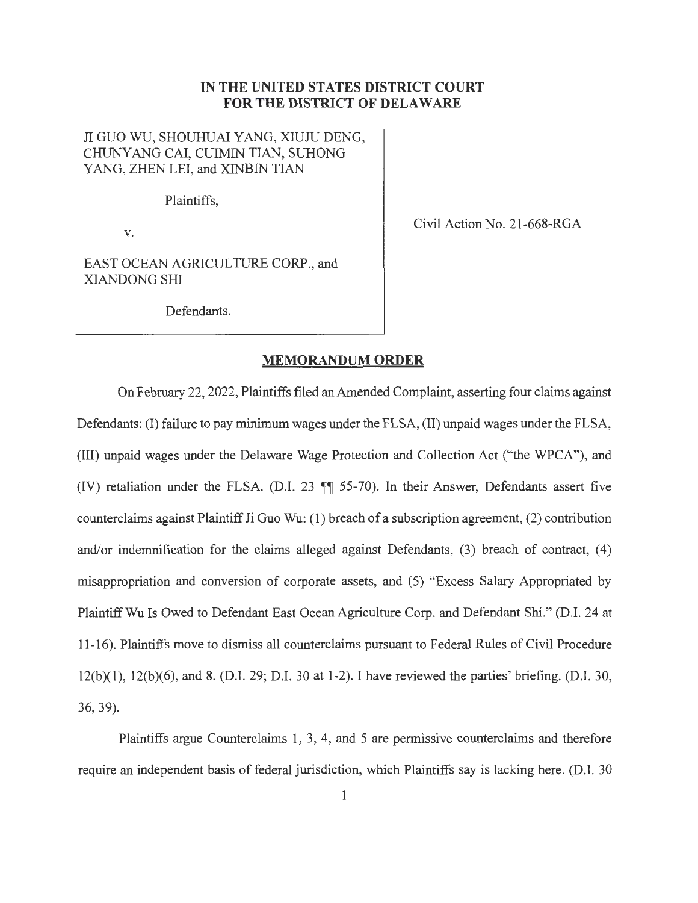## **IN THE UNITED STATES DISTRICT COURT FOR THE DISTRICT OF DELAWARE**

## JI GUO WU, SHOUHUAI YANG, XIUJU DENG, CHUNYANG CAI, CUIMIN TIAN, SUHONG YANG, ZHEN LEI, and XINBIN TIAN

Plaintiffs,

V.

Civil Action No. 21-668-RGA

EAST OCEAN AGRICULTURE CORP., and XIANDONG SHI

Defendants.

## **MEMORANDUM ORDER**

On February 22, 2022, Plaintiffs filed an Amended Complaint, asserting four claims against Defendants: (I) failure to pay minimum wages under the FLSA, (II) unpaid wages under the FLSA, (III) unpaid wages under the Delaware Wage Protection and Collection Act ("the WPCA"), and (IV) retaliation under the FLSA. (D.I. 23  $\P$  55-70). In their Answer, Defendants assert five counterclaims against Plaintiff Ji Guo Wu: ( 1) breach of a subscription agreement, (2) contribution and/or indemnification for the claims alleged against Defendants, (3) breach of contract, (4) misappropriation and conversion of corporate assets, and ( 5) "Excess Salary Appropriated by Plaintiff Wu Is Owed to Defendant East Ocean Agriculture Corp. and Defendant Shi." (D.I. 24 at 11-16). Plaintiffs move to dismiss all counterclaims pursuant to Federal Rules of Civil Procedure 12(b)(l), 12(b)(6), and 8. (D.I. 29; D.I. 30 at 1-2). I have reviewed the parties' briefing. (D.I. 30, 36, 39).

Plaintiffs argue Counterclaims 1, 3, 4, and 5 are permissive counterclaims and therefore require an independent basis of federal jurisdiction, which Plaintiffs say is lacking here. (D.I. 30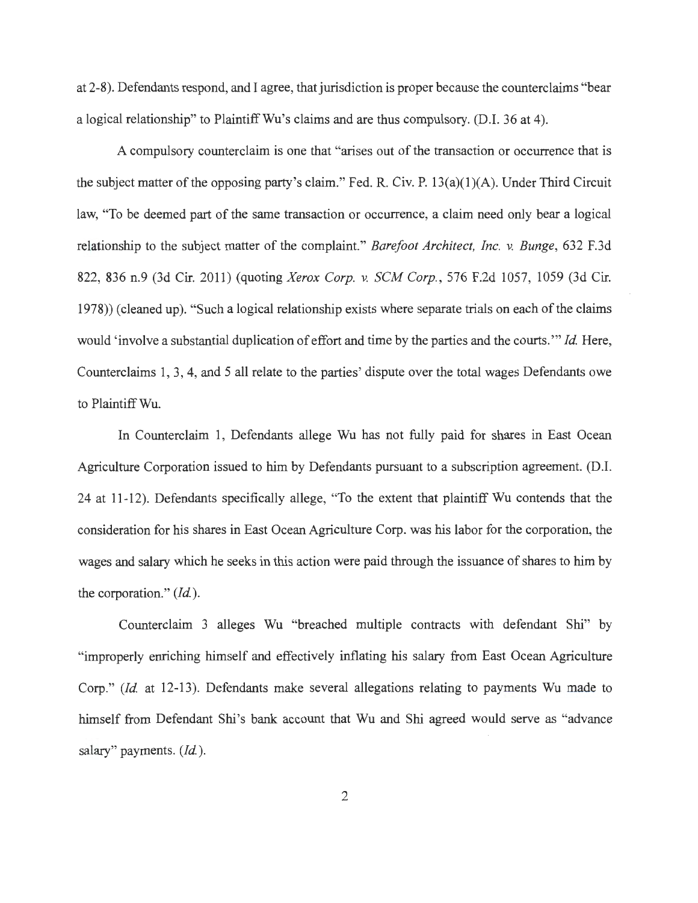at 2-8). Defendants respond, and I agree, that jurisdiction is proper because the counterclaims "bear a logical relationship" to Plaintiff Wu's claims and are thus compulsory. (D.I. 36 at 4).

A compulsory counterclaim is one that "arises out of the transaction or occurrence that is the subject matter of the opposing party's claim." Fed. R. Civ. P.  $13(a)(1)(A)$ . Under Third Circuit law, "To be deemed part of the same transaction or occurrence, a claim need only bear a logical relationship to the subject matter of the complaint." *Barefoot Architect, Inc. v. Bunge,* 632 F.3d 822, 836 n.9 (3d Cir. 2011) (quoting *Xerox Corp.* v. *SCM Corp. ,* 576 F.2d 1057, 1059 (3d Cir. 1978)) (cleaned up). "Such a logical relationship exists where separate trials on each of the claims would 'involve a substantial duplication of effort and time by the parties and the courts."' *Id.* Here, Counterclaims 1, 3, 4, and 5 all relate to the parties' dispute over the total wages Defendants owe to Plaintiff Wu.

In Counterclaim 1, Defendants allege Wu has not fully paid for shares in East Ocean Agriculture Corporation issued to him by Defendants pursuant to a subscription agreement. (D.I. 24 at 11-12). Defendants specifically allege, "To the extent that plaintiff Wu contends that the consideration for his shares in East Ocean Agriculture Corp. was his labor for the corporation, the wages and salary which he seeks in this action were paid through the issuance of shares to him by the corporation." *(Id.).* 

Counterclaim 3 alleges Wu "breached multiple contracts with defendant Shi" by "improperly enriching himself and effectively inflating his salary from East Ocean Agriculture Corp." *(Id.* at 12-13). Defendants make several allegations relating to payments Wu made to himself from Defendant Shi's bank account that Wu and Shi agreed would serve as "advance salary" payments. *(Id.).*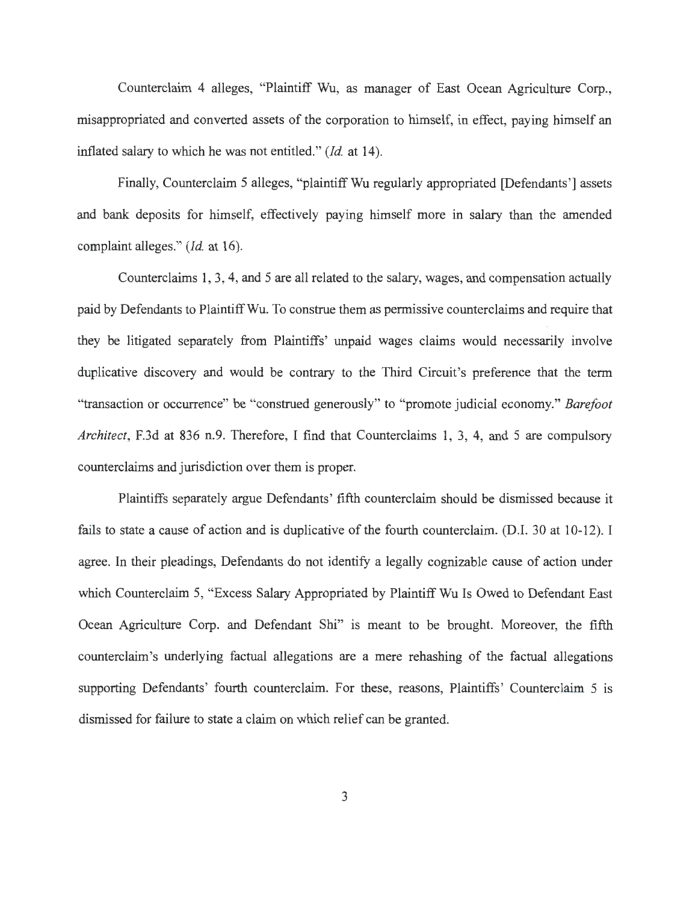Counterclaim 4 alleges, "Plaintiff Wu, as manager of East Ocean Agriculture Corp., misappropriated and converted assets of the corporation to himself, in effect, paying himself an inflated salary to which he was not entitled." *(Id.* at 14).

Finally, Counterclaim 5 alleges, "plaintiff Wu regularly appropriated [Defendants'] assets and bank deposits for himself, effectively paying himself more in salary than the amended complaint alleges." *(Id.* at 16).

Counterclaims 1, 3, 4, and 5 are all related to the salary, wages, and compensation actually paid by Defendants to Plaintiff Wu. To construe them as permissive counterclaims and require that they be litigated separately from Plaintiffs' unpaid wages claims would necessarily involve duplicative discovery and would be contrary to the Third Circuit's preference that the term "transaction or occurrence" be "construed generously" to "promote judicial economy." *Barefoot Architect,* F.3d at 836 n.9. Therefore, I find that Counterclaims 1, 3, 4, and 5 are compulsory counterclaims and jurisdiction over them is proper.

Plaintiffs separately argue Defendants' fifth counterclaim should be dismissed because it fails to state a cause of action and is duplicative of the fourth counterclaim. (D.I. 30 at 10-12). I agree. In their pleadings, Defendants do not identify a legally cognizable cause of action under which Counterclaim 5, "Excess Salary Appropriated by Plaintiff Wu Is Owed to Defendant East Ocean Agriculture Corp. and Defendant Shi" is meant to be brought. Moreover, the fifth counterclaim's underlying factual allegations are a mere rehashing of the factual allegations supporting Defendants' fourth counterclaim. For these, reasons, Plaintiffs' Counterclaim 5 is dismissed for failure to state a claim on which relief can be granted.

3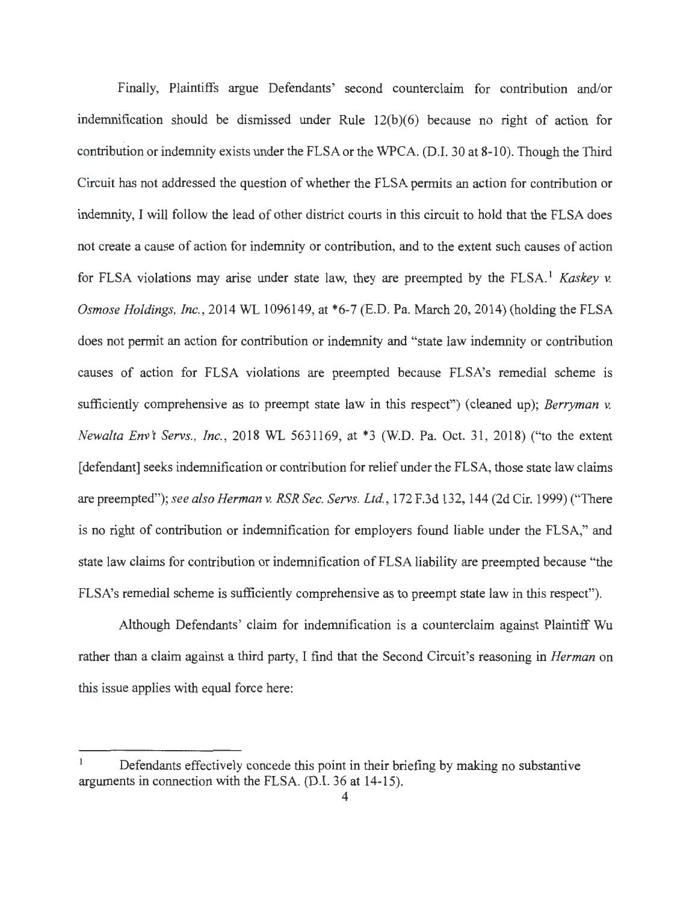Finally, Plaintiffs argue Defendants' second counterclaim for contribution and/or indemnification should be dismissed under Rule  $12(b)(6)$  because no right of action for contribution or indemnity exists under the FLSA or the WPCA. (D.I. 30 at 8-10). Though the Third Circuit has not addressed the question of whether the FLSA permits an action for contribution or indemnity, I will follow the lead of other district courts in this circuit to hold that the FLSA does not create a cause of action for indemnity or contribution, and to the extent such causes of action for FLSA violations may arise under state law, they are preempted by the FLSA. <sup>1</sup>*Kaskey* v. *Osmose Holdings, Inc., 2014 WL 1096149, at \*6-7 (E.D. Pa. March 20, 2014) (holding the FLSA* does not permit an action for contribution or indemnity and "state law indemnity or contribution causes of action for FLSA violations are preempted because FLSA's remedial scheme is sufficiently comprehensive as to preempt state law in this respect") ( cleaned up); *Berryman v. Newalta Env't Servs., Inc., 2018 WL 5631169, at \*3 (W.D. Pa. Oct. 31, 2018) ("to the extent* [defendant] seeks indemnification or contribution for relief under the FLSA, those state law claims are preempted"); *see also Herman v. RSR Sec. Servs. Ltd. ,* 172 F.3d 132, 144 (2d Cir. 1999) ("There is no right of contribution or indemnification for employers found liable under the FLSA," and state law claims for contribution or indemnification of FLSA liability are preempted because "the FLSA's remedial scheme is sufficiently comprehensive as to preempt state law in this respect").

Although Defendants' claim for indemnification is a counterclaim against Plaintiff Wu rather than a claim against a third party, I find that the Second Circuit's reasoning in *Herman* on this issue applies with equal force here:

Defendants effectively concede this point in their briefing by making no substantive arguments in connection with the FLSA. (D.I. 36 at 14-15).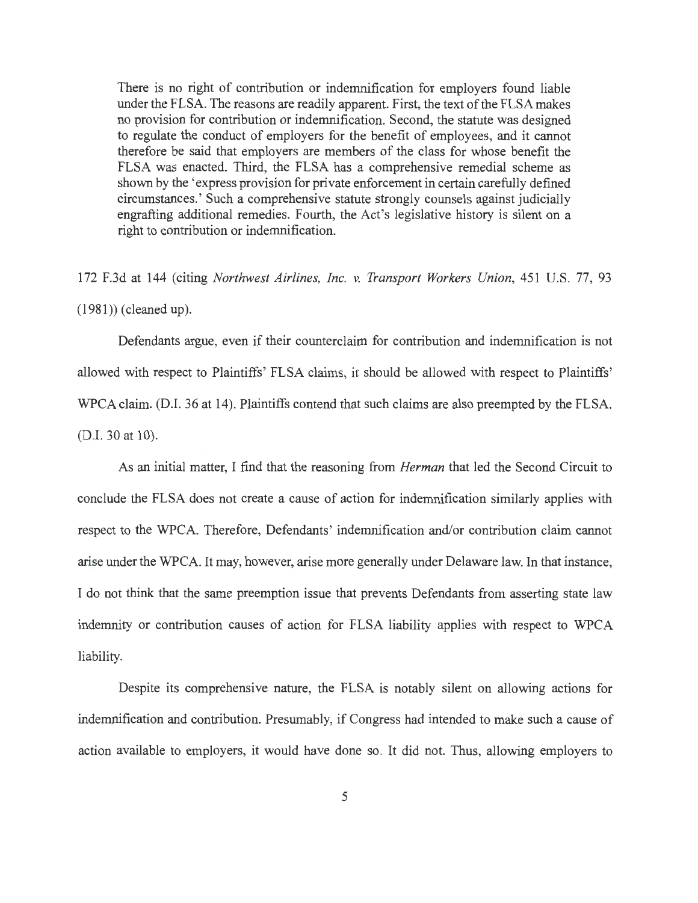There is no right of contribution or indemnification for employers found liable under the FLSA. The reasons are readily apparent. First, the text of the FLSA makes no provision for contribution or indemnification. Second, the statute was designed to regulate the conduct of employers for the benefit of employees, and it cannot therefore be said that employers are members of the class for whose benefit the FLSA was enacted. Third, the FLSA has a comprehensive remedial scheme as shown by the 'express provision for private enforcement in certain carefully defined circumstances.' Such a comprehensive statute strongly counsels against judicially engrafting additional remedies. Fourth, the Act's legislative history is silent on a right to contribution or indemnification.

172 F.3d at 144 (citing *Northwest Airlines, Inc.* v. *Transport Workers Union,* 451 U.S. 77, 93 (1981)) (cleaned up).

Defendants argue, even if their counterclaim for contribution and indemnification is not allowed with respect to Plaintiffs' FLSA claims, it should be allowed with respect to Plaintiffs' WPCA claim. (D.I. 36 at 14). Plaintiffs contend that such claims are also preempted by the FLSA. (D.I. 30 at 10).

As an initial matter, I find that the reasoning from *Herman* that led the Second Circuit to conclude the FLSA does not create a cause of action for indemnification similarly applies with respect to the WPCA. Therefore, Defendants' indemnification and/or contribution claim cannot arise under the WPCA. It may, however, arise more generally under Delaware law. In that instance, I do not think that the same preemption issue that prevents Defendants from asserting state law indemnity or contribution causes of action for FLSA liability applies with respect to WPCA liability.

Despite its comprehensive nature, the FLSA is notably silent on allowing actions for indemnification and contribution. Presumably, if Congress had intended to make such a cause of action available to employers, it would have done so. It did not. Thus, allowing employers to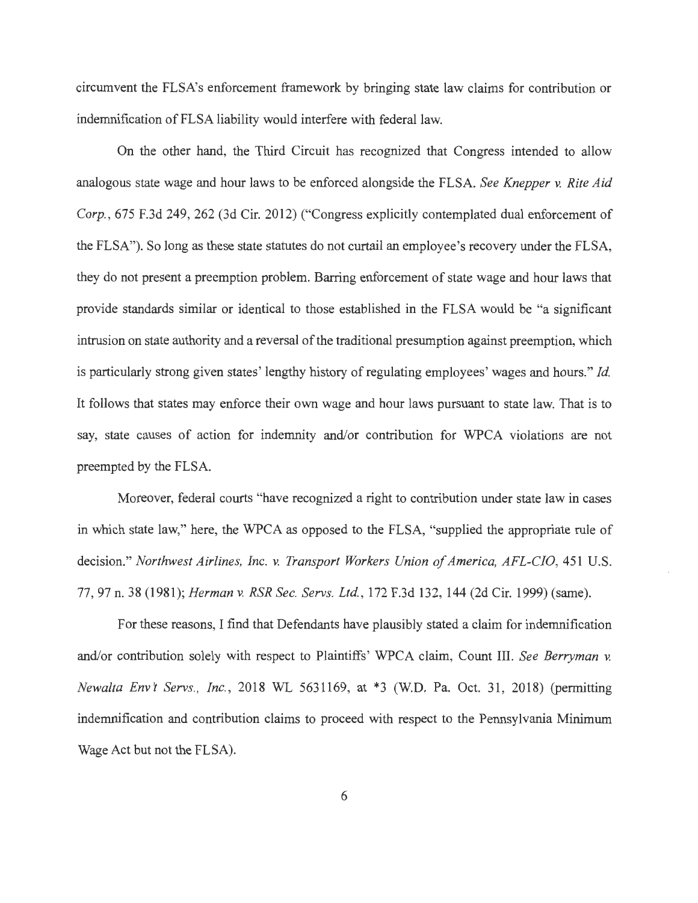circumvent the FLSA's enforcement framework by bringing state law claims for contribution or indemnification of FLSA liability would interfere with federal law.

On the other hand, the Third Circuit has recognized that Congress intended to allow analogous state wage and hour laws to be enforced alongside the FLSA. *See Knepper v. Rite Aid Corp. ,* 675 F.3d 249, 262 (3d Cir. 2012) ("Congress explicitly contemplated dual enforcement of the FLSA"). So long as these state statutes do not curtail an employee's recovery under the FLSA, they do not present a preemption problem. Barring enforcement of state wage and hour laws that provide standards similar or identical to those established in the FLSA would be "a significant intrusion on state authority and a reversal of the traditional presumption against preemption, which is particularly strong given states' lengthy history of regulating employees' wages and hours." *Id.*  It follows that states may enforce their own wage and hour laws pursuant to state law. That is to say, state causes of action for indemnity and/or contribution for WPCA violations are not preempted by the FLSA.

Moreover, federal courts "have recognized a right to contribution under state law in cases in which state law," here, the WPCA as opposed to the FLSA, "supplied the appropriate rule of decision." *Northwest Airlines, Inc. v. Transport Workers Union of America, AFL-CIO,* 451 U.S. 77, 97 n. 38 (1981); *Herman v. RSR Sec. Servs. Ltd. ,* 172 F.3d 132, 144 (2d Cir. 1999) (same).

For these reasons, I find that Defendants have plausibly stated a claim for indemnification and/or contribution solely with respect to Plaintiffs' WPCA claim, Count III. *See Berryman v. Newalta Env't Servs., Inc.*, 2018 WL 5631169, at \*3 (W.D. Pa. Oct. 31, 2018) (permitting indemnification and contribution claims to proceed with respect to the Pennsylvania Minimum Wage Act but not the FLSA).

6